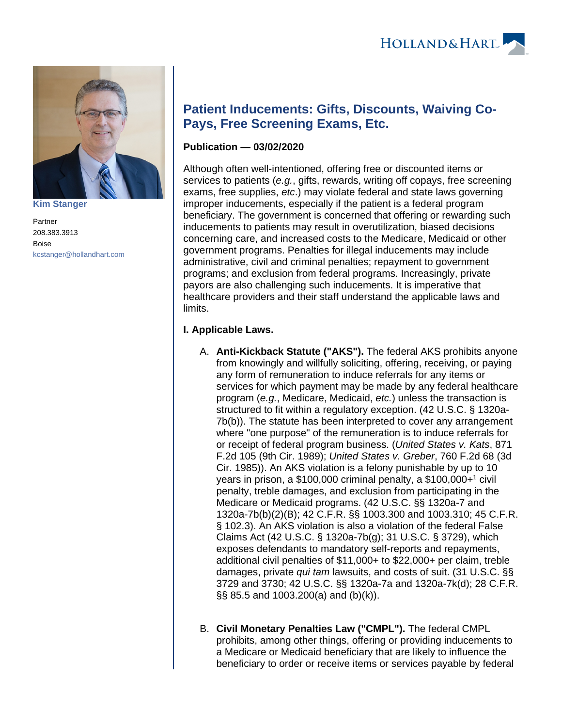

**[Kim Stanger](https://www.hollandhart.com/15954)**

Partner 208.383.3913 Boise [kcstanger@hollandhart.com](mailto:kcstanger@hollandhart.com)

# **Patient Inducements: Gifts, Discounts, Waiving Co-Pays, Free Screening Exams, Etc.**

# **Publication — 03/02/2020**

Although often well-intentioned, offering free or discounted items or services to patients (e.g., gifts, rewards, writing off copays, free screening exams, free supplies, etc.) may violate federal and state laws governing improper inducements, especially if the patient is a federal program beneficiary. The government is concerned that offering or rewarding such inducements to patients may result in overutilization, biased decisions concerning care, and increased costs to the Medicare, Medicaid or other government programs. Penalties for illegal inducements may include administrative, civil and criminal penalties; repayment to government programs; and exclusion from federal programs. Increasingly, private payors are also challenging such inducements. It is imperative that healthcare providers and their staff understand the applicable laws and limits.

## **I. Applicable Laws.**

- A. **Anti-Kickback Statute ("AKS").** The federal AKS prohibits anyone from knowingly and willfully soliciting, offering, receiving, or paying any form of remuneration to induce referrals for any items or services for which payment may be made by any federal healthcare program (e.g., Medicare, Medicaid, etc.) unless the transaction is structured to fit within a regulatory exception. (42 U.S.C. § 1320a-7b(b)). The statute has been interpreted to cover any arrangement where "one purpose" of the remuneration is to induce referrals for or receipt of federal program business. (United States v. Kats, 871 F.2d 105 (9th Cir. 1989); United States v. Greber, 760 F.2d 68 (3d Cir. 1985)). An AKS violation is a felony punishable by up to 10 years in prison, a \$100,000 criminal penalty, a \$100,000+<sup>1</sup> civil penalty, treble damages, and exclusion from participating in the Medicare or Medicaid programs. (42 U.S.C. §§ 1320a-7 and 1320a-7b(b)(2)(B); 42 C.F.R. §§ 1003.300 and 1003.310; 45 C.F.R. § 102.3). An AKS violation is also a violation of the federal False Claims Act (42 U.S.C. § 1320a-7b(g); 31 U.S.C. § 3729), which exposes defendants to mandatory self-reports and repayments, additional civil penalties of \$11,000+ to \$22,000+ per claim, treble damages, private qui tam lawsuits, and costs of suit. (31 U.S.C. §§ 3729 and 3730; 42 U.S.C. §§ 1320a-7a and 1320a-7k(d); 28 C.F.R. §§ 85.5 and 1003.200(a) and (b)(k)).
- B. **Civil Monetary Penalties Law ("CMPL").** The federal CMPL prohibits, among other things, offering or providing inducements to a Medicare or Medicaid beneficiary that are likely to influence the beneficiary to order or receive items or services payable by federal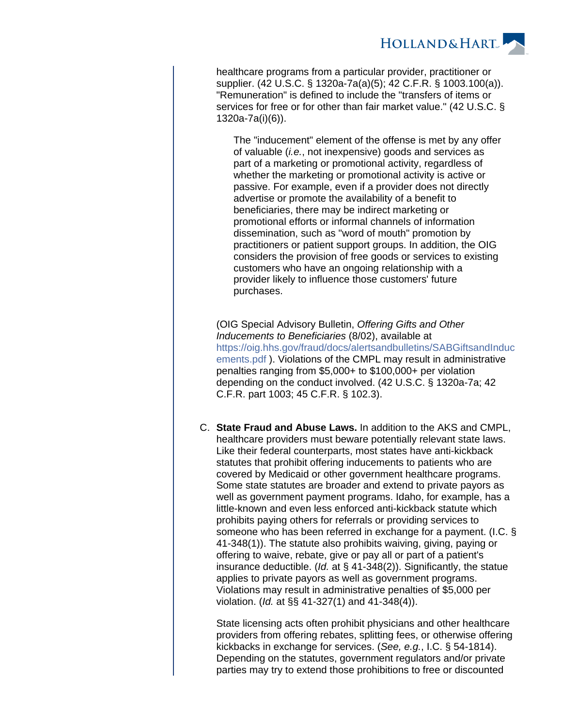

healthcare programs from a particular provider, practitioner or supplier. (42 U.S.C. § 1320a-7a(a)(5); 42 C.F.R. § 1003.100(a)). "Remuneration" is defined to include the "transfers of items or services for free or for other than fair market value." (42 U.S.C. § 1320a-7a(i)(6)).

The "inducement" element of the offense is met by any offer of valuable (i.e., not inexpensive) goods and services as part of a marketing or promotional activity, regardless of whether the marketing or promotional activity is active or passive. For example, even if a provider does not directly advertise or promote the availability of a benefit to beneficiaries, there may be indirect marketing or promotional efforts or informal channels of information dissemination, such as "word of mouth" promotion by practitioners or patient support groups. In addition, the OIG considers the provision of free goods or services to existing customers who have an ongoing relationship with a provider likely to influence those customers' future purchases.

(OIG Special Advisory Bulletin, Offering Gifts and Other Inducements to Beneficiaries (8/02), available at [https://oig.hhs.gov/fraud/docs/alertsandbulletins/SABGiftsandInduc](https://oig.hhs.gov/fraud/docs/alertsandbulletins/SABGiftsandInducements.pdf) [ements.pdf](https://oig.hhs.gov/fraud/docs/alertsandbulletins/SABGiftsandInducements.pdf) ). Violations of the CMPL may result in administrative penalties ranging from \$5,000+ to \$100,000+ per violation depending on the conduct involved. (42 U.S.C. § 1320a-7a; 42 C.F.R. part 1003; 45 C.F.R. § 102.3).

C. **State Fraud and Abuse Laws.** In addition to the AKS and CMPL, healthcare providers must beware potentially relevant state laws. Like their federal counterparts, most states have anti-kickback statutes that prohibit offering inducements to patients who are covered by Medicaid or other government healthcare programs. Some state statutes are broader and extend to private payors as well as government payment programs. Idaho, for example, has a little-known and even less enforced anti-kickback statute which prohibits paying others for referrals or providing services to someone who has been referred in exchange for a payment. (I.C. § 41-348(1)). The statute also prohibits waiving, giving, paying or offering to waive, rebate, give or pay all or part of a patient's insurance deductible. (Id. at § 41-348(2)). Significantly, the statue applies to private payors as well as government programs. Violations may result in administrative penalties of \$5,000 per violation. (Id. at §§ 41-327(1) and 41-348(4)).

State licensing acts often prohibit physicians and other healthcare providers from offering rebates, splitting fees, or otherwise offering kickbacks in exchange for services. (See, e.g., I.C. § 54-1814). Depending on the statutes, government regulators and/or private parties may try to extend those prohibitions to free or discounted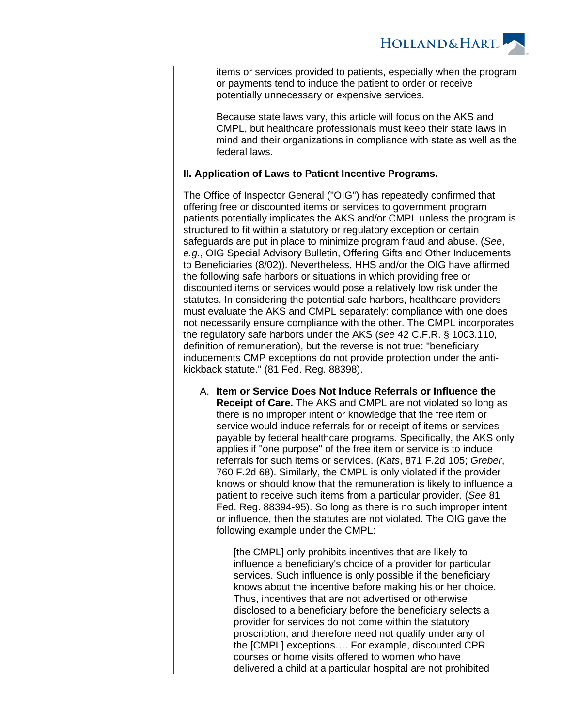

items or services provided to patients, especially when the program or payments tend to induce the patient to order or receive potentially unnecessary or expensive services.

Because state laws vary, this article will focus on the AKS and CMPL, but healthcare professionals must keep their state laws in mind and their organizations in compliance with state as well as the federal laws.

## **II. Application of Laws to Patient Incentive Programs.**

The Office of Inspector General ("OIG") has repeatedly confirmed that offering free or discounted items or services to government program patients potentially implicates the AKS and/or CMPL unless the program is structured to fit within a statutory or regulatory exception or certain safeguards are put in place to minimize program fraud and abuse. (See, e.g., OIG Special Advisory Bulletin, Offering Gifts and Other Inducements to Beneficiaries (8/02)). Nevertheless, HHS and/or the OIG have affirmed the following safe harbors or situations in which providing free or discounted items or services would pose a relatively low risk under the statutes. In considering the potential safe harbors, healthcare providers must evaluate the AKS and CMPL separately: compliance with one does not necessarily ensure compliance with the other. The CMPL incorporates the regulatory safe harbors under the AKS (see 42 C.F.R. § 1003.110, definition of remuneration), but the reverse is not true: "beneficiary inducements CMP exceptions do not provide protection under the antikickback statute." (81 Fed. Reg. 88398).

A. **Item or Service Does Not Induce Referrals or Influence the Receipt of Care.** The AKS and CMPL are not violated so long as there is no improper intent or knowledge that the free item or service would induce referrals for or receipt of items or services payable by federal healthcare programs. Specifically, the AKS only applies if "one purpose" of the free item or service is to induce referrals for such items or services. (Kats, 871 F.2d 105; Greber, 760 F.2d 68). Similarly, the CMPL is only violated if the provider knows or should know that the remuneration is likely to influence a patient to receive such items from a particular provider. (See 81 Fed. Reg. 88394-95). So long as there is no such improper intent or influence, then the statutes are not violated. The OIG gave the following example under the CMPL:

> [the CMPL] only prohibits incentives that are likely to influence a beneficiary's choice of a provider for particular services. Such influence is only possible if the beneficiary knows about the incentive before making his or her choice. Thus, incentives that are not advertised or otherwise disclosed to a beneficiary before the beneficiary selects a provider for services do not come within the statutory proscription, and therefore need not qualify under any of the [CMPL] exceptions…. For example, discounted CPR courses or home visits offered to women who have delivered a child at a particular hospital are not prohibited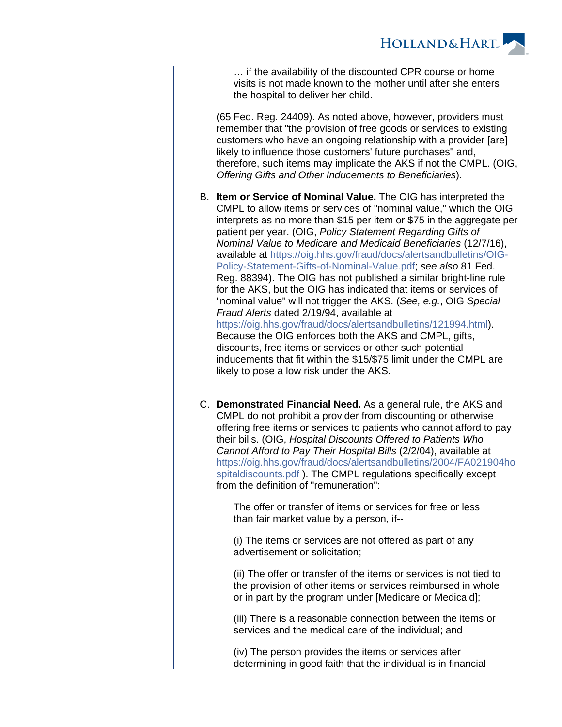

… if the availability of the discounted CPR course or home visits is not made known to the mother until after she enters the hospital to deliver her child.

(65 Fed. Reg. 24409). As noted above, however, providers must remember that "the provision of free goods or services to existing customers who have an ongoing relationship with a provider [are] likely to influence those customers' future purchases" and, therefore, such items may implicate the AKS if not the CMPL. (OIG, Offering Gifts and Other Inducements to Beneficiaries).

- B. **Item or Service of Nominal Value.** The OIG has interpreted the CMPL to allow items or services of "nominal value," which the OIG interprets as no more than \$15 per item or \$75 in the aggregate per patient per year. (OIG, Policy Statement Regarding Gifts of Nominal Value to Medicare and Medicaid Beneficiaries (12/7/16), available at [https://oig.hhs.gov/fraud/docs/alertsandbulletins/OIG-](https://oig.hhs.gov/fraud/docs/alertsandbulletins/OIG-Policy-Statement-Gifts-of-Nominal-Value.pdf)[Policy-Statement-Gifts-of-Nominal-Value.pdf](https://oig.hhs.gov/fraud/docs/alertsandbulletins/OIG-Policy-Statement-Gifts-of-Nominal-Value.pdf); see also 81 Fed. Reg. 88394). The OIG has not published a similar bright-line rule for the AKS, but the OIG has indicated that items or services of "nominal value" will not trigger the AKS. (See, e.g., OIG Special Fraud Alerts dated 2/19/94, available at [https://oig.hhs.gov/fraud/docs/alertsandbulletins/121994.html\)](https://oig.hhs.gov/fraud/docs/alertsandbulletins/121994.html). Because the OIG enforces both the AKS and CMPL, gifts, discounts, free items or services or other such potential inducements that fit within the \$15/\$75 limit under the CMPL are likely to pose a low risk under the AKS.
- C. **Demonstrated Financial Need.** As a general rule, the AKS and CMPL do not prohibit a provider from discounting or otherwise offering free items or services to patients who cannot afford to pay their bills. (OIG, Hospital Discounts Offered to Patients Who Cannot Afford to Pay Their Hospital Bills (2/2/04), available at [https://oig.hhs.gov/fraud/docs/alertsandbulletins/2004/FA021904ho](https://oig.hhs.gov/fraud/docs/alertsandbulletins/2004/FA021904hospitaldiscounts.pdf) [spitaldiscounts.pdf](https://oig.hhs.gov/fraud/docs/alertsandbulletins/2004/FA021904hospitaldiscounts.pdf) ). The CMPL regulations specifically except from the definition of "remuneration":

The offer or transfer of items or services for free or less than fair market value by a person, if--

(i) The items or services are not offered as part of any advertisement or solicitation;

(ii) The offer or transfer of the items or services is not tied to the provision of other items or services reimbursed in whole or in part by the program under [Medicare or Medicaid];

(iii) There is a reasonable connection between the items or services and the medical care of the individual; and

(iv) The person provides the items or services after determining in good faith that the individual is in financial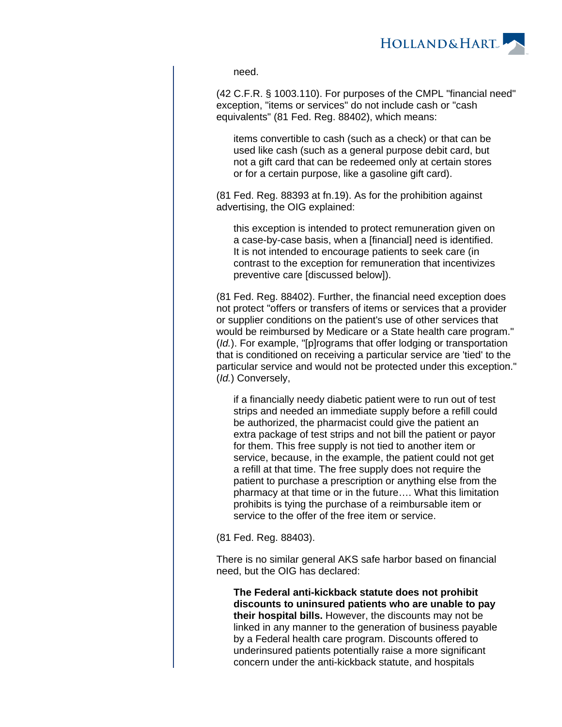

need.

(42 C.F.R. § 1003.110). For purposes of the CMPL "financial need" exception, "items or services" do not include cash or "cash equivalents" (81 Fed. Reg. 88402), which means:

items convertible to cash (such as a check) or that can be used like cash (such as a general purpose debit card, but not a gift card that can be redeemed only at certain stores or for a certain purpose, like a gasoline gift card).

(81 Fed. Reg. 88393 at fn.19). As for the prohibition against advertising, the OIG explained:

this exception is intended to protect remuneration given on a case-by-case basis, when a [financial] need is identified. It is not intended to encourage patients to seek care (in contrast to the exception for remuneration that incentivizes preventive care [discussed below]).

(81 Fed. Reg. 88402). Further, the financial need exception does not protect "offers or transfers of items or services that a provider or supplier conditions on the patient's use of other services that would be reimbursed by Medicare or a State health care program." (Id.). For example, "[p]rograms that offer lodging or transportation that is conditioned on receiving a particular service are 'tied' to the particular service and would not be protected under this exception." (Id.) Conversely,

if a financially needy diabetic patient were to run out of test strips and needed an immediate supply before a refill could be authorized, the pharmacist could give the patient an extra package of test strips and not bill the patient or payor for them. This free supply is not tied to another item or service, because, in the example, the patient could not get a refill at that time. The free supply does not require the patient to purchase a prescription or anything else from the pharmacy at that time or in the future…. What this limitation prohibits is tying the purchase of a reimbursable item or service to the offer of the free item or service.

(81 Fed. Reg. 88403).

There is no similar general AKS safe harbor based on financial need, but the OIG has declared:

**The Federal anti-kickback statute does not prohibit discounts to uninsured patients who are unable to pay their hospital bills.** However, the discounts may not be linked in any manner to the generation of business payable by a Federal health care program. Discounts offered to underinsured patients potentially raise a more significant concern under the anti-kickback statute, and hospitals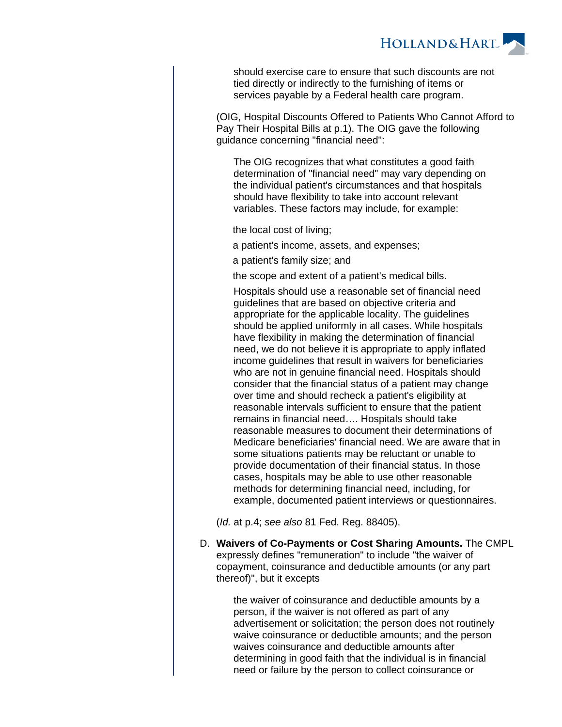

should exercise care to ensure that such discounts are not tied directly or indirectly to the furnishing of items or services payable by a Federal health care program.

(OIG, Hospital Discounts Offered to Patients Who Cannot Afford to Pay Their Hospital Bills at p.1). The OIG gave the following guidance concerning "financial need":

The OIG recognizes that what constitutes a good faith determination of "financial need" may vary depending on the individual patient's circumstances and that hospitals should have flexibility to take into account relevant variables. These factors may include, for example:

the local cost of living;

a patient's income, assets, and expenses;

a patient's family size; and

the scope and extent of a patient's medical bills.

Hospitals should use a reasonable set of financial need guidelines that are based on objective criteria and appropriate for the applicable locality. The guidelines should be applied uniformly in all cases. While hospitals have flexibility in making the determination of financial need, we do not believe it is appropriate to apply inflated income guidelines that result in waivers for beneficiaries who are not in genuine financial need. Hospitals should consider that the financial status of a patient may change over time and should recheck a patient's eligibility at reasonable intervals sufficient to ensure that the patient remains in financial need…. Hospitals should take reasonable measures to document their determinations of Medicare beneficiaries' financial need. We are aware that in some situations patients may be reluctant or unable to provide documentation of their financial status. In those cases, hospitals may be able to use other reasonable methods for determining financial need, including, for example, documented patient interviews or questionnaires.

(Id. at p.4; see also 81 Fed. Reg. 88405).

D. **Waivers of Co-Payments or Cost Sharing Amounts.** The CMPL expressly defines "remuneration" to include "the waiver of copayment, coinsurance and deductible amounts (or any part thereof)", but it excepts

> the waiver of coinsurance and deductible amounts by a person, if the waiver is not offered as part of any advertisement or solicitation; the person does not routinely waive coinsurance or deductible amounts; and the person waives coinsurance and deductible amounts after determining in good faith that the individual is in financial need or failure by the person to collect coinsurance or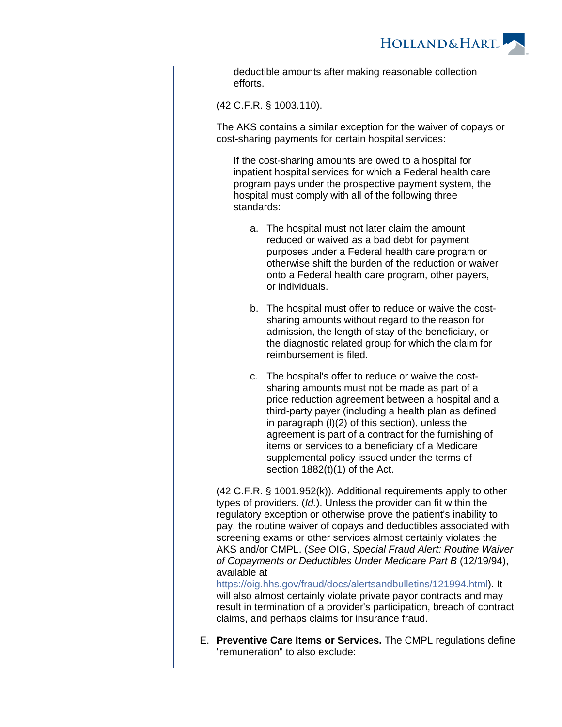

deductible amounts after making reasonable collection efforts.

(42 C.F.R. § 1003.110).

The AKS contains a similar exception for the waiver of copays or cost-sharing payments for certain hospital services:

If the cost-sharing amounts are owed to a hospital for inpatient hospital services for which a Federal health care program pays under the prospective payment system, the hospital must comply with all of the following three standards:

- a. The hospital must not later claim the amount reduced or waived as a bad debt for payment purposes under a Federal health care program or otherwise shift the burden of the reduction or waiver onto a Federal health care program, other payers, or individuals.
- b. The hospital must offer to reduce or waive the costsharing amounts without regard to the reason for admission, the length of stay of the beneficiary, or the diagnostic related group for which the claim for reimbursement is filed.
- c. The hospital's offer to reduce or waive the costsharing amounts must not be made as part of a price reduction agreement between a hospital and a third-party payer (including a health plan as defined in paragraph (l)(2) of this section), unless the agreement is part of a contract for the furnishing of items or services to a beneficiary of a Medicare supplemental policy issued under the terms of section 1882(t)(1) of the Act.

(42 C.F.R. § 1001.952(k)). Additional requirements apply to other types of providers. (Id.). Unless the provider can fit within the regulatory exception or otherwise prove the patient's inability to pay, the routine waiver of copays and deductibles associated with screening exams or other services almost certainly violates the AKS and/or CMPL. (See OIG, Special Fraud Alert: Routine Waiver of Copayments or Deductibles Under Medicare Part B (12/19/94), available at

[https://oig.hhs.gov/fraud/docs/alertsandbulletins/121994.html\)](https://oig.hhs.gov/fraud/docs/alertsandbulletins/121994.htm). It will also almost certainly violate private payor contracts and may result in termination of a provider's participation, breach of contract claims, and perhaps claims for insurance fraud.

E. **Preventive Care Items or Services.** The CMPL regulations define "remuneration" to also exclude: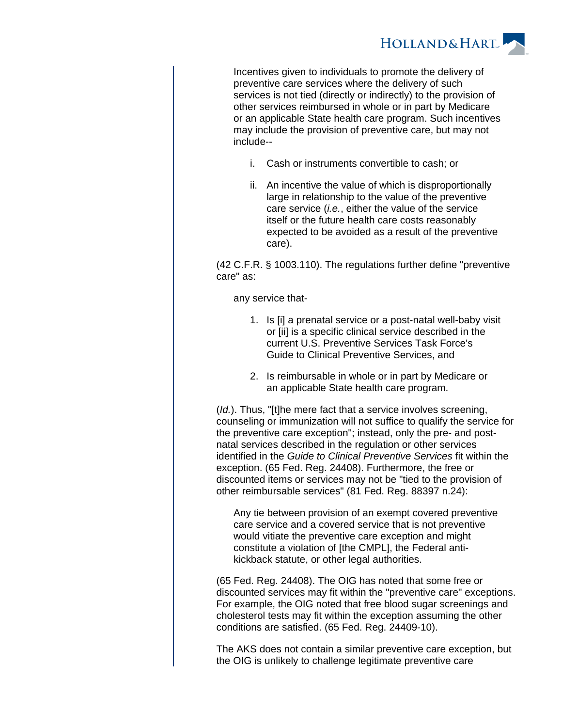

Incentives given to individuals to promote the delivery of preventive care services where the delivery of such services is not tied (directly or indirectly) to the provision of other services reimbursed in whole or in part by Medicare or an applicable State health care program. Such incentives may include the provision of preventive care, but may not include--

- i. Cash or instruments convertible to cash; or
- ii. An incentive the value of which is disproportionally large in relationship to the value of the preventive care service (i.e., either the value of the service itself or the future health care costs reasonably expected to be avoided as a result of the preventive care).

(42 C.F.R. § 1003.110). The regulations further define "preventive care" as:

any service that-

- 1. Is [i] a prenatal service or a post-natal well-baby visit or [ii] is a specific clinical service described in the current U.S. Preventive Services Task Force's Guide to Clinical Preventive Services, and
- 2. Is reimbursable in whole or in part by Medicare or an applicable State health care program.

(*Id.*). Thus, "[t]he mere fact that a service involves screening, counseling or immunization will not suffice to qualify the service for the preventive care exception"; instead, only the pre- and postnatal services described in the regulation or other services identified in the Guide to Clinical Preventive Services fit within the exception. (65 Fed. Reg. 24408). Furthermore, the free or discounted items or services may not be "tied to the provision of other reimbursable services" (81 Fed. Reg. 88397 n.24):

Any tie between provision of an exempt covered preventive care service and a covered service that is not preventive would vitiate the preventive care exception and might constitute a violation of [the CMPL], the Federal antikickback statute, or other legal authorities.

(65 Fed. Reg. 24408). The OIG has noted that some free or discounted services may fit within the "preventive care" exceptions. For example, the OIG noted that free blood sugar screenings and cholesterol tests may fit within the exception assuming the other conditions are satisfied. (65 Fed. Reg. 24409-10).

The AKS does not contain a similar preventive care exception, but the OIG is unlikely to challenge legitimate preventive care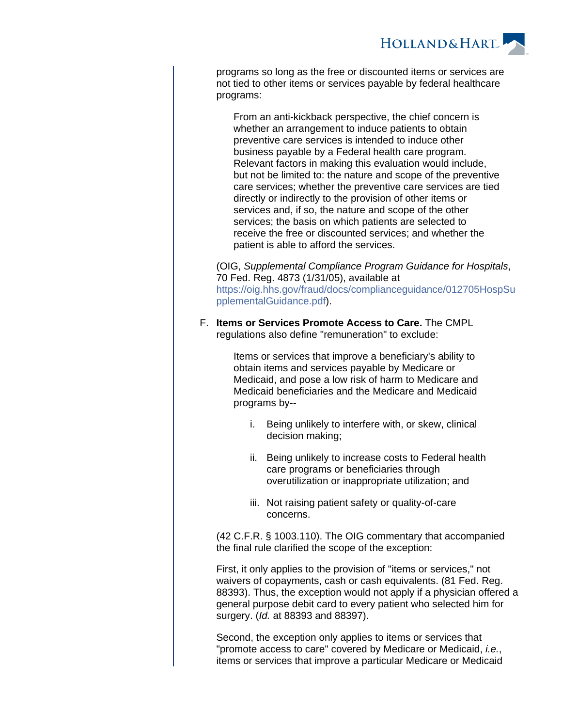

programs so long as the free or discounted items or services are not tied to other items or services payable by federal healthcare programs:

From an anti-kickback perspective, the chief concern is whether an arrangement to induce patients to obtain preventive care services is intended to induce other business payable by a Federal health care program. Relevant factors in making this evaluation would include, but not be limited to: the nature and scope of the preventive care services; whether the preventive care services are tied directly or indirectly to the provision of other items or services and, if so, the nature and scope of the other services; the basis on which patients are selected to receive the free or discounted services; and whether the patient is able to afford the services.

(OIG, Supplemental Compliance Program Guidance for Hospitals, 70 Fed. Reg. 4873 (1/31/05), available at [https://oig.hhs.gov/fraud/docs/complianceguidance/012705HospSu](https://oig.hhs.gov/fraud/docs/complianceguidance/012705HospSupplementalGuidance.pdf) [pplementalGuidance.pdf](https://oig.hhs.gov/fraud/docs/complianceguidance/012705HospSupplementalGuidance.pdf)).

F. **Items or Services Promote Access to Care.** The CMPL regulations also define "remuneration" to exclude:

> Items or services that improve a beneficiary's ability to obtain items and services payable by Medicare or Medicaid, and pose a low risk of harm to Medicare and Medicaid beneficiaries and the Medicare and Medicaid programs by--

- i. Being unlikely to interfere with, or skew, clinical decision making;
- ii. Being unlikely to increase costs to Federal health care programs or beneficiaries through overutilization or inappropriate utilization; and
- iii. Not raising patient safety or quality-of-care concerns.

(42 C.F.R. § 1003.110). The OIG commentary that accompanied the final rule clarified the scope of the exception:

First, it only applies to the provision of "items or services," not waivers of copayments, cash or cash equivalents. (81 Fed. Reg. 88393). Thus, the exception would not apply if a physician offered a general purpose debit card to every patient who selected him for surgery. (Id. at 88393 and 88397).

Second, the exception only applies to items or services that "promote access to care" covered by Medicare or Medicaid, *i.e.*, items or services that improve a particular Medicare or Medicaid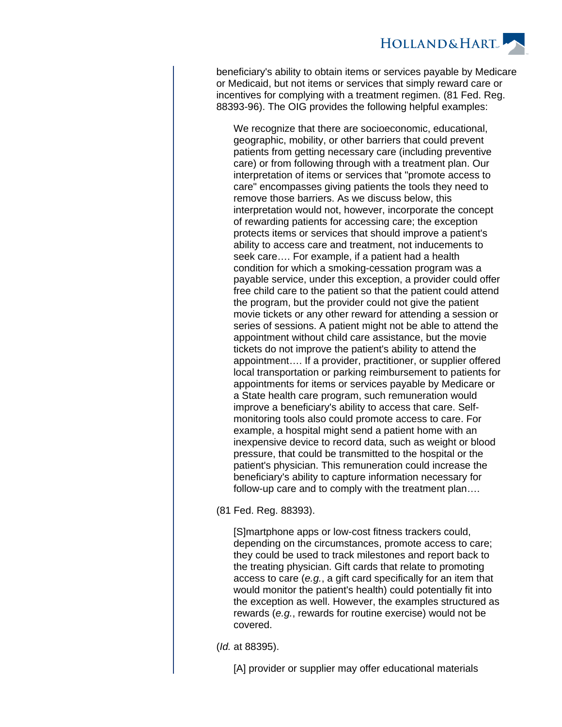

beneficiary's ability to obtain items or services payable by Medicare or Medicaid, but not items or services that simply reward care or incentives for complying with a treatment regimen. (81 Fed. Reg. 88393-96). The OIG provides the following helpful examples:

We recognize that there are socioeconomic, educational, geographic, mobility, or other barriers that could prevent patients from getting necessary care (including preventive care) or from following through with a treatment plan. Our interpretation of items or services that "promote access to care" encompasses giving patients the tools they need to remove those barriers. As we discuss below, this interpretation would not, however, incorporate the concept of rewarding patients for accessing care; the exception protects items or services that should improve a patient's ability to access care and treatment, not inducements to seek care…. For example, if a patient had a health condition for which a smoking-cessation program was a payable service, under this exception, a provider could offer free child care to the patient so that the patient could attend the program, but the provider could not give the patient movie tickets or any other reward for attending a session or series of sessions. A patient might not be able to attend the appointment without child care assistance, but the movie tickets do not improve the patient's ability to attend the appointment…. If a provider, practitioner, or supplier offered local transportation or parking reimbursement to patients for appointments for items or services payable by Medicare or a State health care program, such remuneration would improve a beneficiary's ability to access that care. Selfmonitoring tools also could promote access to care. For example, a hospital might send a patient home with an inexpensive device to record data, such as weight or blood pressure, that could be transmitted to the hospital or the patient's physician. This remuneration could increase the beneficiary's ability to capture information necessary for follow-up care and to comply with the treatment plan….

(81 Fed. Reg. 88393).

[S]martphone apps or low-cost fitness trackers could, depending on the circumstances, promote access to care; they could be used to track milestones and report back to the treating physician. Gift cards that relate to promoting access to care (e.g., a gift card specifically for an item that would monitor the patient's health) could potentially fit into the exception as well. However, the examples structured as rewards (e.g., rewards for routine exercise) would not be covered.

(Id. at 88395).

[A] provider or supplier may offer educational materials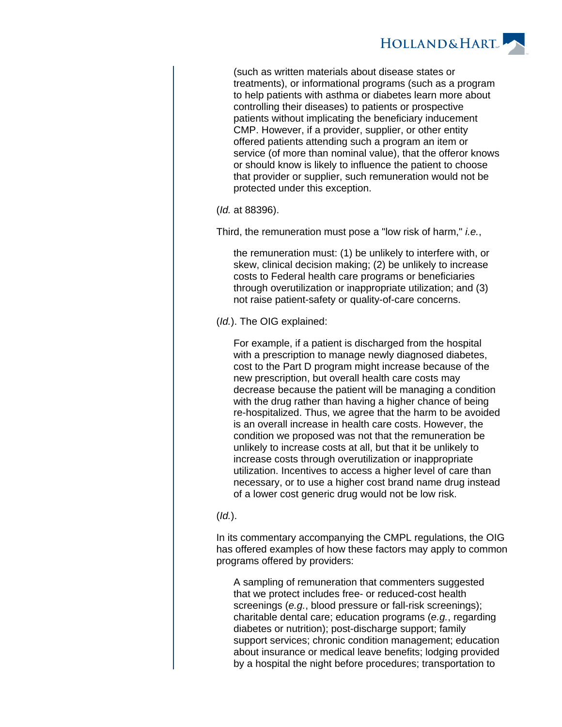

(such as written materials about disease states or treatments), or informational programs (such as a program to help patients with asthma or diabetes learn more about controlling their diseases) to patients or prospective patients without implicating the beneficiary inducement CMP. However, if a provider, supplier, or other entity offered patients attending such a program an item or service (of more than nominal value), that the offeror knows or should know is likely to influence the patient to choose that provider or supplier, such remuneration would not be protected under this exception.

(Id. at 88396).

Third, the remuneration must pose a "low risk of harm," *i.e.*,

the remuneration must: (1) be unlikely to interfere with, or skew, clinical decision making; (2) be unlikely to increase costs to Federal health care programs or beneficiaries through overutilization or inappropriate utilization; and (3) not raise patient-safety or quality-of-care concerns.

(Id.). The OIG explained:

For example, if a patient is discharged from the hospital with a prescription to manage newly diagnosed diabetes, cost to the Part D program might increase because of the new prescription, but overall health care costs may decrease because the patient will be managing a condition with the drug rather than having a higher chance of being re-hospitalized. Thus, we agree that the harm to be avoided is an overall increase in health care costs. However, the condition we proposed was not that the remuneration be unlikely to increase costs at all, but that it be unlikely to increase costs through overutilization or inappropriate utilization. Incentives to access a higher level of care than necessary, or to use a higher cost brand name drug instead of a lower cost generic drug would not be low risk.

### $(Id.).$

In its commentary accompanying the CMPL regulations, the OIG has offered examples of how these factors may apply to common programs offered by providers:

A sampling of remuneration that commenters suggested that we protect includes free- or reduced-cost health screenings (e.g., blood pressure or fall-risk screenings); charitable dental care; education programs (e.g., regarding diabetes or nutrition); post-discharge support; family support services; chronic condition management; education about insurance or medical leave benefits; lodging provided by a hospital the night before procedures; transportation to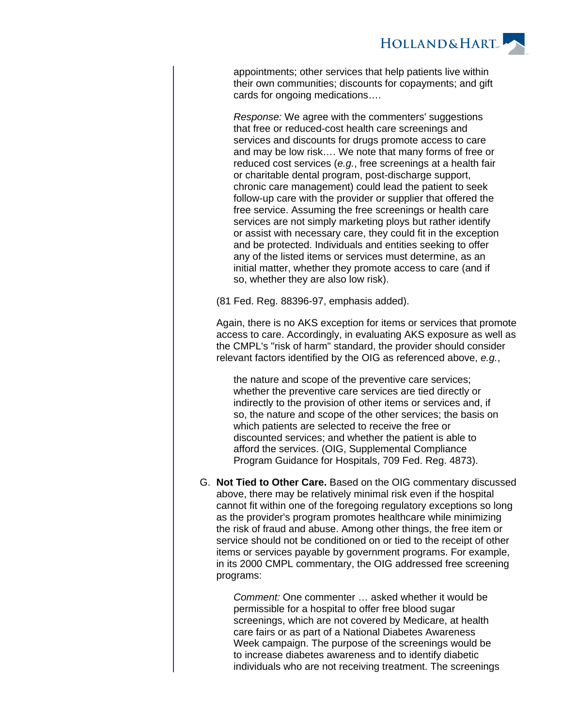

appointments; other services that help patients live within their own communities; discounts for copayments; and gift cards for ongoing medications….

Response: We agree with the commenters' suggestions that free or reduced-cost health care screenings and services and discounts for drugs promote access to care and may be low risk…. We note that many forms of free or reduced cost services (e.g., free screenings at a health fair or charitable dental program, post-discharge support, chronic care management) could lead the patient to seek follow-up care with the provider or supplier that offered the free service. Assuming the free screenings or health care services are not simply marketing ploys but rather identify or assist with necessary care, they could fit in the exception and be protected. Individuals and entities seeking to offer any of the listed items or services must determine, as an initial matter, whether they promote access to care (and if so, whether they are also low risk).

(81 Fed. Reg. 88396-97, emphasis added).

Again, there is no AKS exception for items or services that promote access to care. Accordingly, in evaluating AKS exposure as well as the CMPL's "risk of harm" standard, the provider should consider relevant factors identified by the OIG as referenced above, e.g.,

the nature and scope of the preventive care services; whether the preventive care services are tied directly or indirectly to the provision of other items or services and, if so, the nature and scope of the other services; the basis on which patients are selected to receive the free or discounted services; and whether the patient is able to afford the services. (OIG, Supplemental Compliance Program Guidance for Hospitals, 709 Fed. Reg. 4873).

G. **Not Tied to Other Care.** Based on the OIG commentary discussed above, there may be relatively minimal risk even if the hospital cannot fit within one of the foregoing regulatory exceptions so long as the provider's program promotes healthcare while minimizing the risk of fraud and abuse. Among other things, the free item or service should not be conditioned on or tied to the receipt of other items or services payable by government programs. For example, in its 2000 CMPL commentary, the OIG addressed free screening programs:

> Comment: One commenter … asked whether it would be permissible for a hospital to offer free blood sugar screenings, which are not covered by Medicare, at health care fairs or as part of a National Diabetes Awareness Week campaign. The purpose of the screenings would be to increase diabetes awareness and to identify diabetic individuals who are not receiving treatment. The screenings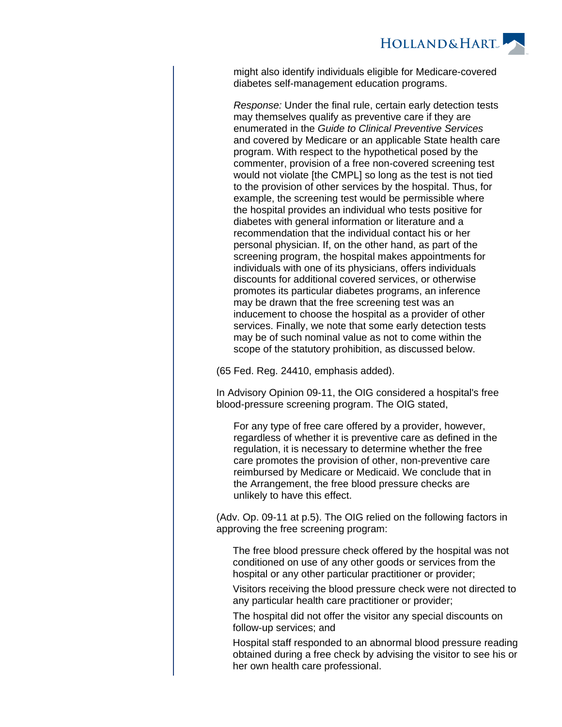

might also identify individuals eligible for Medicare-covered diabetes self-management education programs.

Response: Under the final rule, certain early detection tests may themselves qualify as preventive care if they are enumerated in the Guide to Clinical Preventive Services and covered by Medicare or an applicable State health care program. With respect to the hypothetical posed by the commenter, provision of a free non-covered screening test would not violate [the CMPL] so long as the test is not tied to the provision of other services by the hospital. Thus, for example, the screening test would be permissible where the hospital provides an individual who tests positive for diabetes with general information or literature and a recommendation that the individual contact his or her personal physician. If, on the other hand, as part of the screening program, the hospital makes appointments for individuals with one of its physicians, offers individuals discounts for additional covered services, or otherwise promotes its particular diabetes programs, an inference may be drawn that the free screening test was an inducement to choose the hospital as a provider of other services. Finally, we note that some early detection tests may be of such nominal value as not to come within the scope of the statutory prohibition, as discussed below.

(65 Fed. Reg. 24410, emphasis added).

In Advisory Opinion 09-11, the OIG considered a hospital's free blood-pressure screening program. The OIG stated,

For any type of free care offered by a provider, however, regardless of whether it is preventive care as defined in the regulation, it is necessary to determine whether the free care promotes the provision of other, non-preventive care reimbursed by Medicare or Medicaid. We conclude that in the Arrangement, the free blood pressure checks are unlikely to have this effect.

(Adv. Op. 09-11 at p.5). The OIG relied on the following factors in approving the free screening program:

The free blood pressure check offered by the hospital was not conditioned on use of any other goods or services from the hospital or any other particular practitioner or provider;

Visitors receiving the blood pressure check were not directed to any particular health care practitioner or provider;

The hospital did not offer the visitor any special discounts on follow-up services; and

Hospital staff responded to an abnormal blood pressure reading obtained during a free check by advising the visitor to see his or her own health care professional.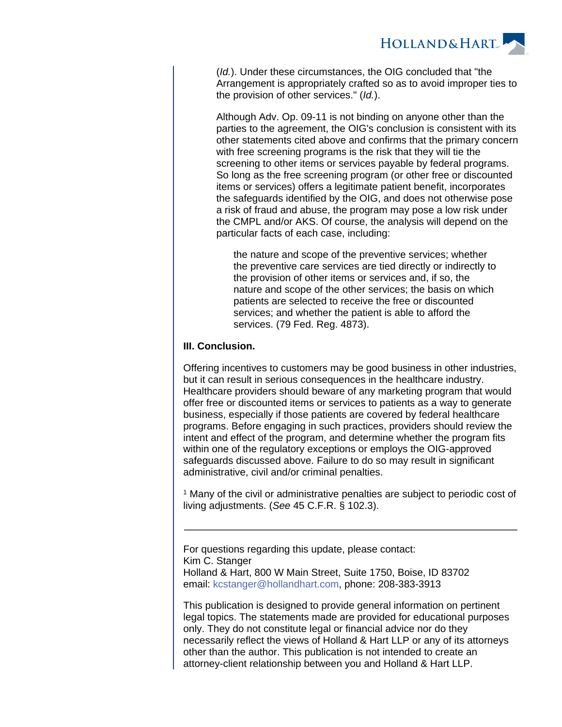

(Id.). Under these circumstances, the OIG concluded that "the Arrangement is appropriately crafted so as to avoid improper ties to the provision of other services." (Id.).

Although Adv. Op. 09-11 is not binding on anyone other than the parties to the agreement, the OIG's conclusion is consistent with its other statements cited above and confirms that the primary concern with free screening programs is the risk that they will tie the screening to other items or services payable by federal programs. So long as the free screening program (or other free or discounted items or services) offers a legitimate patient benefit, incorporates the safeguards identified by the OIG, and does not otherwise pose a risk of fraud and abuse, the program may pose a low risk under the CMPL and/or AKS. Of course, the analysis will depend on the particular facts of each case, including:

the nature and scope of the preventive services; whether the preventive care services are tied directly or indirectly to the provision of other items or services and, if so, the nature and scope of the other services; the basis on which patients are selected to receive the free or discounted services; and whether the patient is able to afford the services. (79 Fed. Reg. 4873).

### **III. Conclusion.**

Offering incentives to customers may be good business in other industries, but it can result in serious consequences in the healthcare industry. Healthcare providers should beware of any marketing program that would offer free or discounted items or services to patients as a way to generate business, especially if those patients are covered by federal healthcare programs. Before engaging in such practices, providers should review the intent and effect of the program, and determine whether the program fits within one of the regulatory exceptions or employs the OIG-approved safeguards discussed above. Failure to do so may result in significant administrative, civil and/or criminal penalties.

<sup>1</sup> Many of the civil or administrative penalties are subject to periodic cost of living adjustments. (See 45 C.F.R. § 102.3).

For questions regarding this update, please contact: Kim C. Stanger Holland & Hart, 800 W Main Street, Suite 1750, Boise, ID 83702 email: [kcstanger@hollandhart.com](mailto:kcstanger@hollandhart.com), phone: 208-383-3913

This publication is designed to provide general information on pertinent legal topics. The statements made are provided for educational purposes only. They do not constitute legal or financial advice nor do they necessarily reflect the views of Holland & Hart LLP or any of its attorneys other than the author. This publication is not intended to create an attorney-client relationship between you and Holland & Hart LLP.